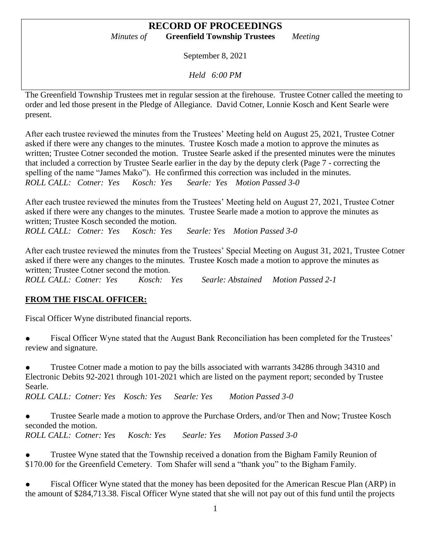September 8, 2021

*Held 6:00 PM*

The Greenfield Township Trustees met in regular session at the firehouse. Trustee Cotner called the meeting to order and led those present in the Pledge of Allegiance. David Cotner, Lonnie Kosch and Kent Searle were present.

After each trustee reviewed the minutes from the Trustees' Meeting held on August 25, 2021, Trustee Cotner asked if there were any changes to the minutes. Trustee Kosch made a motion to approve the minutes as written; Trustee Cotner seconded the motion. Trustee Searle asked if the presented minutes were the minutes that included a correction by Trustee Searle earlier in the day by the deputy clerk (Page 7 - correcting the spelling of the name "James Mako"). He confirmed this correction was included in the minutes. *ROLL CALL: Cotner: Yes Kosch: Yes Searle: Yes Motion Passed 3-0*

After each trustee reviewed the minutes from the Trustees' Meeting held on August 27, 2021, Trustee Cotner asked if there were any changes to the minutes. Trustee Searle made a motion to approve the minutes as written; Trustee Kosch seconded the motion.

*ROLL CALL: Cotner: Yes Kosch: Yes Searle: Yes Motion Passed 3-0*

After each trustee reviewed the minutes from the Trustees' Special Meeting on August 31, 2021, Trustee Cotner asked if there were any changes to the minutes. Trustee Kosch made a motion to approve the minutes as written; Trustee Cotner second the motion.

*ROLL CALL: Cotner: Yes Kosch: Yes Searle: Abstained Motion Passed 2-1*

# **FROM THE FISCAL OFFICER:**

Fiscal Officer Wyne distributed financial reports.

Fiscal Officer Wyne stated that the August Bank Reconciliation has been completed for the Trustees' review and signature.

Trustee Cotner made a motion to pay the bills associated with warrants 34286 through 34310 and Electronic Debits 92-2021 through 101-2021 which are listed on the payment report; seconded by Trustee Searle.

*ROLL CALL: Cotner: Yes Kosch: Yes Searle: Yes Motion Passed 3-0*

● Trustee Searle made a motion to approve the Purchase Orders, and/or Then and Now; Trustee Kosch seconded the motion.

*ROLL CALL: Cotner: Yes Kosch: Yes Searle: Yes Motion Passed 3-0*

Trustee Wyne stated that the Township received a donation from the Bigham Family Reunion of \$170.00 for the Greenfield Cemetery. Tom Shafer will send a "thank you" to the Bigham Family.

Fiscal Officer Wyne stated that the money has been deposited for the American Rescue Plan (ARP) in the amount of \$284,713.38. Fiscal Officer Wyne stated that she will not pay out of this fund until the projects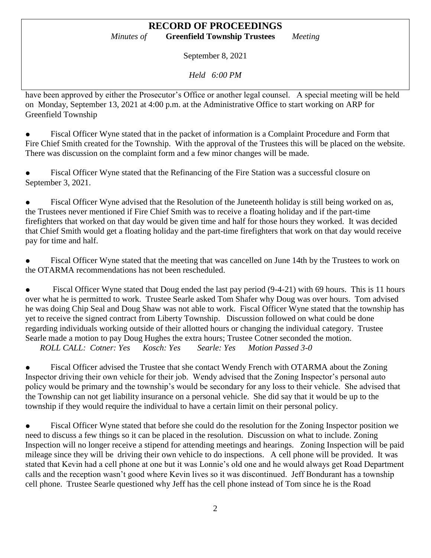September 8, 2021

*Held 6:00 PM*

have been approved by either the Prosecutor's Office or another legal counsel. A special meeting will be held on Monday, September 13, 2021 at 4:00 p.m. at the Administrative Office to start working on ARP for Greenfield Township

Fiscal Officer Wyne stated that in the packet of information is a Complaint Procedure and Form that Fire Chief Smith created for the Township. With the approval of the Trustees this will be placed on the website. There was discussion on the complaint form and a few minor changes will be made.

Fiscal Officer Wyne stated that the Refinancing of the Fire Station was a successful closure on September 3, 2021.

Fiscal Officer Wyne advised that the Resolution of the Juneteenth holiday is still being worked on as, the Trustees never mentioned if Fire Chief Smith was to receive a floating holiday and if the part-time firefighters that worked on that day would be given time and half for those hours they worked. It was decided that Chief Smith would get a floating holiday and the part-time firefighters that work on that day would receive pay for time and half.

Fiscal Officer Wyne stated that the meeting that was cancelled on June 14th by the Trustees to work on the OTARMA recommendations has not been rescheduled.

• Fiscal Officer Wyne stated that Doug ended the last pay period (9-4-21) with 69 hours. This is 11 hours over what he is permitted to work. Trustee Searle asked Tom Shafer why Doug was over hours. Tom advised he was doing Chip Seal and Doug Shaw was not able to work. Fiscal Officer Wyne stated that the township has yet to receive the signed contract from Liberty Township. Discussion followed on what could be done regarding individuals working outside of their allotted hours or changing the individual category. Trustee Searle made a motion to pay Doug Hughes the extra hours; Trustee Cotner seconded the motion.

*ROLL CALL: Cotner: Yes Kosch: Yes Searle: Yes Motion Passed 3-0*

• Fiscal Officer advised the Trustee that she contact Wendy French with OTARMA about the Zoning Inspector driving their own vehicle for their job. Wendy advised that the Zoning Inspector's personal auto policy would be primary and the township's would be secondary for any loss to their vehicle. She advised that the Township can not get liability insurance on a personal vehicle. She did say that it would be up to the township if they would require the individual to have a certain limit on their personal policy.

Fiscal Officer Wyne stated that before she could do the resolution for the Zoning Inspector position we need to discuss a few things so it can be placed in the resolution. Discussion on what to include. Zoning Inspection will no longer receive a stipend for attending meetings and hearings. Zoning Inspection will be paid mileage since they will be driving their own vehicle to do inspections. A cell phone will be provided. It was stated that Kevin had a cell phone at one but it was Lonnie's old one and he would always get Road Department calls and the reception wasn't good where Kevin lives so it was discontinued. Jeff Bondurant has a township cell phone. Trustee Searle questioned why Jeff has the cell phone instead of Tom since he is the Road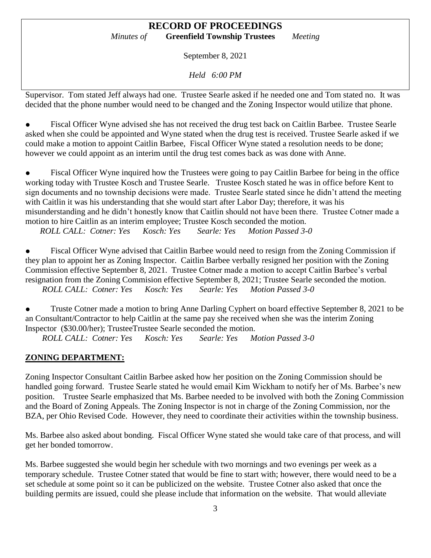September 8, 2021

*Held 6:00 PM*

Supervisor. Tom stated Jeff always had one. Trustee Searle asked if he needed one and Tom stated no. It was decided that the phone number would need to be changed and the Zoning Inspector would utilize that phone.

Fiscal Officer Wyne advised she has not received the drug test back on Caitlin Barbee. Trustee Searle asked when she could be appointed and Wyne stated when the drug test is received. Trustee Searle asked if we could make a motion to appoint Caitlin Barbee, Fiscal Officer Wyne stated a resolution needs to be done; however we could appoint as an interim until the drug test comes back as was done with Anne.

Fiscal Officer Wyne inquired how the Trustees were going to pay Caitlin Barbee for being in the office working today with Trustee Kosch and Trustee Searle. Trustee Kosch stated he was in office before Kent to sign documents and no township decisions were made. Trustee Searle stated since he didn't attend the meeting with Caitlin it was his understanding that she would start after Labor Day; therefore, it was his misunderstanding and he didn't honestly know that Caitlin should not have been there. Trustee Cotner made a motion to hire Caitlin as an interim employee; Trustee Kosch seconded the motion.

*ROLL CALL: Cotner: Yes Kosch: Yes Searle: Yes Motion Passed 3-0*

Fiscal Officer Wyne advised that Caitlin Barbee would need to resign from the Zoning Commission if they plan to appoint her as Zoning Inspector. Caitlin Barbee verbally resigned her position with the Zoning Commission effective September 8, 2021. Trustee Cotner made a motion to accept Caitlin Barbee's verbal resignation from the Zoning Commision effective September 8, 2021; Trustee Searle seconded the motion. *ROLL CALL: Cotner: Yes Kosch: Yes Searle: Yes Motion Passed 3-0*

• Truste Cotner made a motion to bring Anne Darling Cyphert on board effective September 8, 2021 to be an Consultant/Contractor to help Caitlin at the same pay she received when she was the interim Zoning Inspector (\$30.00/her); TrusteeTrustee Searle seconded the motion.

*ROLL CALL: Cotner: Yes Kosch: Yes Searle: Yes Motion Passed 3-0*

#### **ZONING DEPARTMENT:**

Zoning Inspector Consultant Caitlin Barbee asked how her position on the Zoning Commission should be handled going forward. Trustee Searle stated he would email Kim Wickham to notify her of Ms. Barbee's new position. Trustee Searle emphasized that Ms. Barbee needed to be involved with both the Zoning Commission and the Board of Zoning Appeals. The Zoning Inspector is not in charge of the Zoning Commission, nor the BZA, per Ohio Revised Code. However, they need to coordinate their activities within the township business.

Ms. Barbee also asked about bonding. Fiscal Officer Wyne stated she would take care of that process, and will get her bonded tomorrow.

Ms. Barbee suggested she would begin her schedule with two mornings and two evenings per week as a temporary schedule. Trustee Cotner stated that would be fine to start with; however, there would need to be a set schedule at some point so it can be publicized on the website. Trustee Cotner also asked that once the building permits are issued, could she please include that information on the website. That would alleviate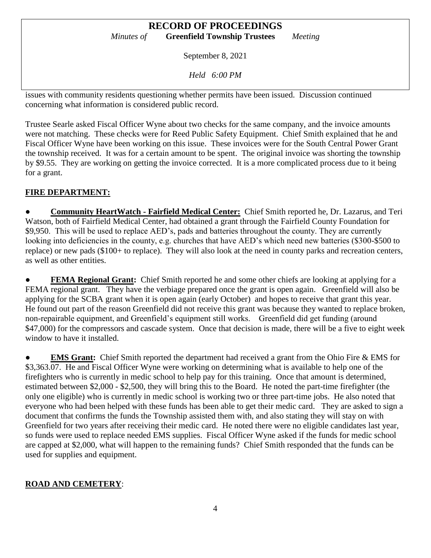September 8, 2021

*Held 6:00 PM*

issues with community residents questioning whether permits have been issued. Discussion continued concerning what information is considered public record.

Trustee Searle asked Fiscal Officer Wyne about two checks for the same company, and the invoice amounts were not matching. These checks were for Reed Public Safety Equipment. Chief Smith explained that he and Fiscal Officer Wyne have been working on this issue. These invoices were for the South Central Power Grant the township received. It was for a certain amount to be spent. The original invoice was shorting the township by \$9.55. They are working on getting the invoice corrected. It is a more complicated process due to it being for a grant.

# **FIRE DEPARTMENT:**

● **Community HeartWatch - Fairfield Medical Center:** Chief Smith reported he, Dr. Lazarus, and Teri Watson, both of Fairfield Medical Center, had obtained a grant through the Fairfield County Foundation for \$9,950. This will be used to replace AED's, pads and batteries throughout the county. They are currently looking into deficiencies in the county, e.g. churches that have AED's which need new batteries (\$300-\$500 to replace) or new pads (\$100+ to replace). They will also look at the need in county parks and recreation centers, as well as other entities.

**FEMA Regional Grant:** Chief Smith reported he and some other chiefs are looking at applying for a FEMA regional grant. They have the verbiage prepared once the grant is open again. Greenfield will also be applying for the SCBA grant when it is open again (early October) and hopes to receive that grant this year. He found out part of the reason Greenfield did not receive this grant was because they wanted to replace broken, non-repairable equipment, and Greenfield's equipment still works. Greenfield did get funding (around \$47,000) for the compressors and cascade system. Once that decision is made, there will be a five to eight week window to have it installed.

**EMS Grant:** Chief Smith reported the department had received a grant from the Ohio Fire & EMS for \$3,363.07. He and Fiscal Officer Wyne were working on determining what is available to help one of the firefighters who is currently in medic school to help pay for this training. Once that amount is determined, estimated between \$2,000 - \$2,500, they will bring this to the Board. He noted the part-time firefighter (the only one eligible) who is currently in medic school is working two or three part-time jobs. He also noted that everyone who had been helped with these funds has been able to get their medic card. They are asked to sign a document that confirms the funds the Township assisted them with, and also stating they will stay on with Greenfield for two years after receiving their medic card. He noted there were no eligible candidates last year, so funds were used to replace needed EMS supplies. Fiscal Officer Wyne asked if the funds for medic school are capped at \$2,000, what will happen to the remaining funds? Chief Smith responded that the funds can be used for supplies and equipment.

# **ROAD AND CEMETERY**: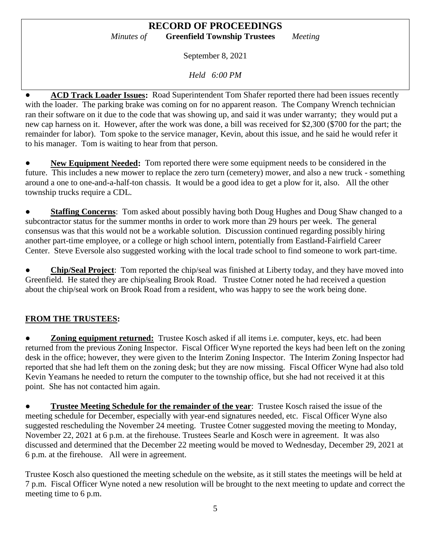September 8, 2021

*Held 6:00 PM*

● **ACD Track Loader Issues:** Road Superintendent Tom Shafer reported there had been issues recently with the loader. The parking brake was coming on for no apparent reason. The Company Wrench technician ran their software on it due to the code that was showing up, and said it was under warranty; they would put a new cap harness on it. However, after the work was done, a bill was received for \$2,300 (\$700 for the part; the remainder for labor). Tom spoke to the service manager, Kevin, about this issue, and he said he would refer it to his manager. Tom is waiting to hear from that person.

New Equipment Needed: Tom reported there were some equipment needs to be considered in the future. This includes a new mower to replace the zero turn (cemetery) mower, and also a new truck - something around a one to one-and-a-half-ton chassis. It would be a good idea to get a plow for it, also. All the other township trucks require a CDL.

**• Staffing Concerns:** Tom asked about possibly having both Doug Hughes and Doug Shaw changed to a subcontractor status for the summer months in order to work more than 29 hours per week. The general consensus was that this would not be a workable solution. Discussion continued regarding possibly hiring another part-time employee, or a college or high school intern, potentially from Eastland-Fairfield Career Center. Steve Eversole also suggested working with the local trade school to find someone to work part-time.

**Chip/Seal Project:** Tom reported the chip/seal was finished at Liberty today, and they have moved into Greenfield. He stated they are chip/sealing Brook Road. Trustee Cotner noted he had received a question about the chip/seal work on Brook Road from a resident, who was happy to see the work being done.

# **FROM THE TRUSTEES:**

**Zoning equipment returned:** Trustee Kosch asked if all items i.e. computer, keys, etc. had been returned from the previous Zoning Inspector. Fiscal Officer Wyne reported the keys had been left on the zoning desk in the office; however, they were given to the Interim Zoning Inspector. The Interim Zoning Inspector had reported that she had left them on the zoning desk; but they are now missing. Fiscal Officer Wyne had also told Kevin Yeamans he needed to return the computer to the township office, but she had not received it at this point. She has not contacted him again.

**• Trustee Meeting Schedule for the remainder of the year**: Trustee Kosch raised the issue of the meeting schedule for December, especially with year-end signatures needed, etc. Fiscal Officer Wyne also suggested rescheduling the November 24 meeting. Trustee Cotner suggested moving the meeting to Monday, November 22, 2021 at 6 p.m. at the firehouse. Trustees Searle and Kosch were in agreement. It was also discussed and determined that the December 22 meeting would be moved to Wednesday, December 29, 2021 at 6 p.m. at the firehouse. All were in agreement.

Trustee Kosch also questioned the meeting schedule on the website, as it still states the meetings will be held at 7 p.m. Fiscal Officer Wyne noted a new resolution will be brought to the next meeting to update and correct the meeting time to 6 p.m.